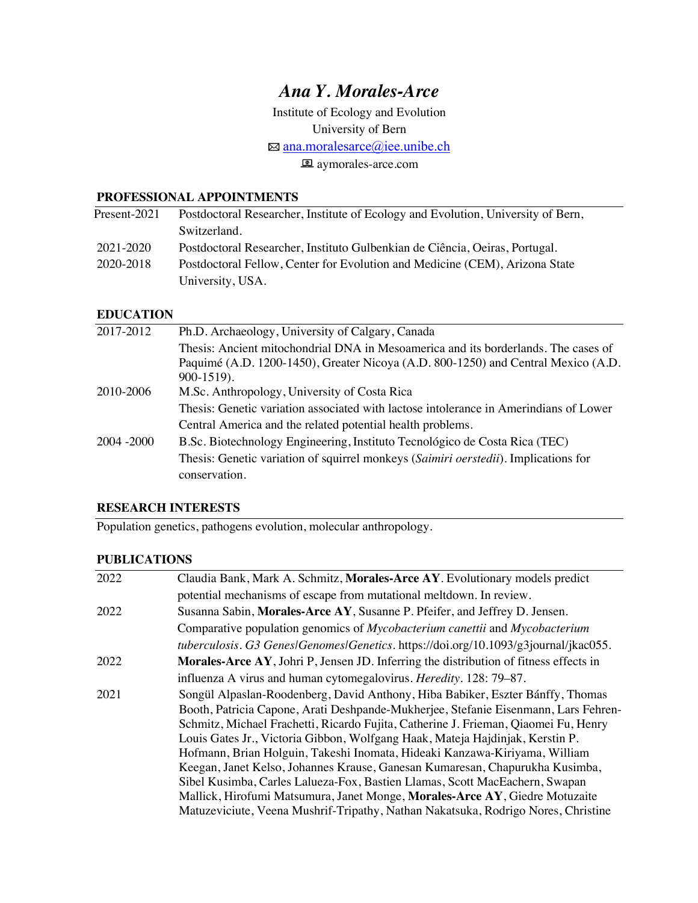# *Ana Y. Morales-Arce*

Institute of Ecology and Evolution

University of Bern

⊠ ana.moralesarce@iee.unibe.ch

**a** aymorales-arce.com

#### **PROFESSIONAL APPOINTMENTS**

| Present-2021 | Postdoctoral Researcher, Institute of Ecology and Evolution, University of Bern, |
|--------------|----------------------------------------------------------------------------------|
|              | Switzerland.                                                                     |
| 2021-2020    | Postdoctoral Researcher, Instituto Gulbenkian de Ciência, Oeiras, Portugal.      |
| 2020-2018    | Postdoctoral Fellow, Center for Evolution and Medicine (CEM), Arizona State      |
|              | University, USA.                                                                 |

### **EDUCATION**

| 2017-2012   | Ph.D. Archaeology, University of Calgary, Canada                                      |
|-------------|---------------------------------------------------------------------------------------|
|             | Thesis: Ancient mitochondrial DNA in Mesoamerica and its borderlands. The cases of    |
|             | Paquimé (A.D. 1200-1450), Greater Nicoya (A.D. 800-1250) and Central Mexico (A.D.     |
|             | $900-1519$ .                                                                          |
| 2010-2006   | M.Sc. Anthropology, University of Costa Rica                                          |
|             | Thesis: Genetic variation associated with lactose intolerance in Amerindians of Lower |
|             | Central America and the related potential health problems.                            |
| 2004 - 2000 | B.Sc. Biotechnology Engineering, Instituto Tecnológico de Costa Rica (TEC)            |
|             | Thesis: Genetic variation of squirrel monkeys (Saimiri oerstedii). Implications for   |
|             | conservation.                                                                         |
|             |                                                                                       |

### **RESEARCH INTERESTS**

Population genetics, pathogens evolution, molecular anthropology.

### **PUBLICATIONS**

| 2022 | Claudia Bank, Mark A. Schmitz, Morales-Arce AY. Evolutionary models predict               |
|------|-------------------------------------------------------------------------------------------|
|      | potential mechanisms of escape from mutational meltdown. In review.                       |
| 2022 | Susanna Sabin, Morales-Arce AY, Susanne P. Pfeifer, and Jeffrey D. Jensen.                |
|      | Comparative population genomics of <i>Mycobacterium canettii</i> and <i>Mycobacterium</i> |
|      | tuberculosis. G3 Genes/Genomes/Genetics. https://doi.org/10.1093/g3journal/jkac055.       |
| 2022 | Morales-Arce AY, Johri P, Jensen JD. Inferring the distribution of fitness effects in     |
|      | influenza A virus and human cytomegalovirus. <i>Heredity</i> . 128: 79–87.                |
| 2021 | Songül Alpaslan-Roodenberg, David Anthony, Hiba Babiker, Eszter Bánffy, Thomas            |
|      | Booth, Patricia Capone, Arati Deshpande-Mukherjee, Stefanie Eisenmann, Lars Fehren-       |
|      | Schmitz, Michael Frachetti, Ricardo Fujita, Catherine J. Frieman, Qiaomei Fu, Henry       |
|      | Louis Gates Jr., Victoria Gibbon, Wolfgang Haak, Mateja Hajdinjak, Kerstin P.             |
|      | Hofmann, Brian Holguin, Takeshi Inomata, Hideaki Kanzawa-Kiriyama, William                |
|      | Keegan, Janet Kelso, Johannes Krause, Ganesan Kumaresan, Chapurukha Kusimba,              |
|      | Sibel Kusimba, Carles Lalueza-Fox, Bastien Llamas, Scott MacEachern, Swapan               |
|      | Mallick, Hirofumi Matsumura, Janet Monge, Morales-Arce AY, Giedre Motuzaite               |
|      | Matuzeviciute, Veena Mushrif-Tripathy, Nathan Nakatsuka, Rodrigo Nores, Christine         |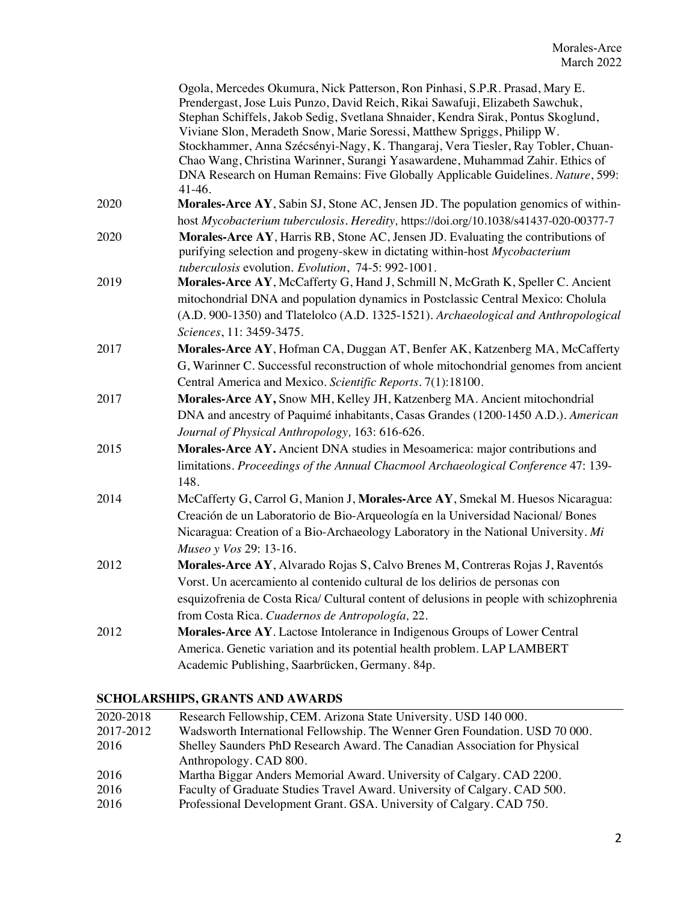|      | Ogola, Mercedes Okumura, Nick Patterson, Ron Pinhasi, S.P.R. Prasad, Mary E.<br>Prendergast, Jose Luis Punzo, David Reich, Rikai Sawafuji, Elizabeth Sawchuk,<br>Stephan Schiffels, Jakob Sedig, Svetlana Shnaider, Kendra Sirak, Pontus Skoglund,<br>Viviane Slon, Meradeth Snow, Marie Soressi, Matthew Spriggs, Philipp W.<br>Stockhammer, Anna Szécsényi-Nagy, K. Thangaraj, Vera Tiesler, Ray Tobler, Chuan-<br>Chao Wang, Christina Warinner, Surangi Yasawardene, Muhammad Zahir. Ethics of<br>DNA Research on Human Remains: Five Globally Applicable Guidelines. Nature, 599:<br>$41-46.$ |
|------|----------------------------------------------------------------------------------------------------------------------------------------------------------------------------------------------------------------------------------------------------------------------------------------------------------------------------------------------------------------------------------------------------------------------------------------------------------------------------------------------------------------------------------------------------------------------------------------------------|
| 2020 | Morales-Arce AY, Sabin SJ, Stone AC, Jensen JD. The population genomics of within-                                                                                                                                                                                                                                                                                                                                                                                                                                                                                                                 |
|      | host Mycobacterium tuberculosis. Heredity, https://doi.org/10.1038/s41437-020-00377-7                                                                                                                                                                                                                                                                                                                                                                                                                                                                                                              |
| 2020 | Morales-Arce AY, Harris RB, Stone AC, Jensen JD. Evaluating the contributions of<br>purifying selection and progeny-skew in dictating within-host Mycobacterium<br>tuberculosis evolution. Evolution, 74-5: 992-1001.                                                                                                                                                                                                                                                                                                                                                                              |
| 2019 | Morales-Arce AY, McCafferty G, Hand J, Schmill N, McGrath K, Speller C. Ancient<br>mitochondrial DNA and population dynamics in Postclassic Central Mexico: Cholula<br>(A.D. 900-1350) and Tlatelolco (A.D. 1325-1521). Archaeological and Anthropological                                                                                                                                                                                                                                                                                                                                         |
|      | Sciences, 11: 3459-3475.                                                                                                                                                                                                                                                                                                                                                                                                                                                                                                                                                                           |
| 2017 | Morales-Arce AY, Hofman CA, Duggan AT, Benfer AK, Katzenberg MA, McCafferty<br>G, Warinner C. Successful reconstruction of whole mitochondrial genomes from ancient<br>Central America and Mexico. Scientific Reports. 7(1):18100.                                                                                                                                                                                                                                                                                                                                                                 |
| 2017 | Morales-Arce AY, Snow MH, Kelley JH, Katzenberg MA. Ancient mitochondrial<br>DNA and ancestry of Paquimé inhabitants, Casas Grandes (1200-1450 A.D.). American<br>Journal of Physical Anthropology, 163: 616-626.                                                                                                                                                                                                                                                                                                                                                                                  |
| 2015 | Morales-Arce AY. Ancient DNA studies in Mesoamerica: major contributions and<br>limitations. Proceedings of the Annual Chacmool Archaeological Conference 47: 139-<br>148.                                                                                                                                                                                                                                                                                                                                                                                                                         |
| 2014 | McCafferty G, Carrol G, Manion J, Morales-Arce AY, Smekal M. Huesos Nicaragua:<br>Creación de un Laboratorio de Bio-Arqueología en la Universidad Nacional/Bones<br>Nicaragua: Creation of a Bio-Archaeology Laboratory in the National University. Mi<br>Museo y Vos 29: 13-16.                                                                                                                                                                                                                                                                                                                   |
| 2012 | Morales-Arce AY, Alvarado Rojas S, Calvo Brenes M, Contreras Rojas J, Raventós                                                                                                                                                                                                                                                                                                                                                                                                                                                                                                                     |
|      | Vorst. Un acercamiento al contenido cultural de los delirios de personas con<br>esquizofrenia de Costa Rica/ Cultural content of delusions in people with schizophrenia                                                                                                                                                                                                                                                                                                                                                                                                                            |
|      | from Costa Rica. Cuadernos de Antropología, 22.                                                                                                                                                                                                                                                                                                                                                                                                                                                                                                                                                    |
| 2012 | Morales-Arce AY. Lactose Intolerance in Indigenous Groups of Lower Central<br>America. Genetic variation and its potential health problem. LAP LAMBERT<br>Academic Publishing, Saarbrücken, Germany. 84p.                                                                                                                                                                                                                                                                                                                                                                                          |

## **SCHOLARSHIPS, GRANTS AND AWARDS**

| 2020-2018 | Research Fellowship, CEM. Arizona State University. USD 140 000.            |
|-----------|-----------------------------------------------------------------------------|
| 2017-2012 | Wadsworth International Fellowship. The Wenner Gren Foundation. USD 70 000. |
| 2016      | Shelley Saunders PhD Research Award. The Canadian Association for Physical  |
|           | Anthropology. CAD 800.                                                      |
| 2016      | Martha Biggar Anders Memorial Award. University of Calgary. CAD 2200.       |
| 2016      | Faculty of Graduate Studies Travel Award. University of Calgary. CAD 500.   |
| 2016      | Professional Development Grant. GSA. University of Calgary. CAD 750.        |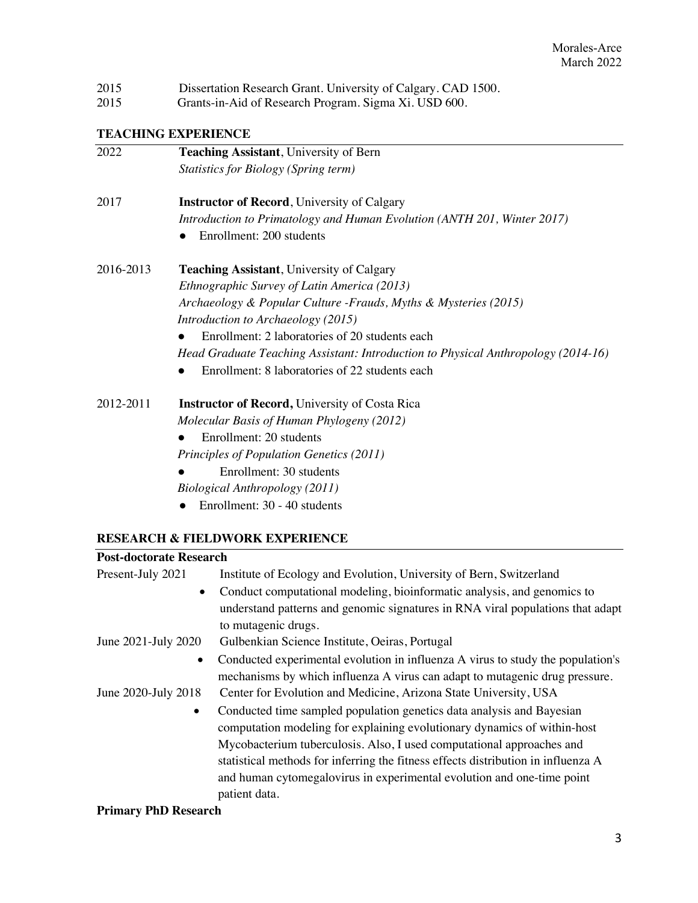| 2015 | Dissertation Research Grant. University of Calgary. CAD 1500. |
|------|---------------------------------------------------------------|
|------|---------------------------------------------------------------|

2015 Grants-in-Aid of Research Program. Sigma Xi. USD 600.

# **TEACHING EXPERIENCE**

| 2022      | Teaching Assistant, University of Bern                                            |
|-----------|-----------------------------------------------------------------------------------|
|           | <b>Statistics for Biology (Spring term)</b>                                       |
| 2017      | <b>Instructor of Record</b> , University of Calgary                               |
|           | Introduction to Primatology and Human Evolution (ANTH 201, Winter 2017)           |
|           | Enrollment: 200 students                                                          |
| 2016-2013 | <b>Teaching Assistant, University of Calgary</b>                                  |
|           | Ethnographic Survey of Latin America (2013)                                       |
|           | Archaeology & Popular Culture - Frauds, Myths & Mysteries (2015)                  |
|           | Introduction to Archaeology (2015)                                                |
|           | Enrollment: 2 laboratories of 20 students each                                    |
|           | Head Graduate Teaching Assistant: Introduction to Physical Anthropology (2014-16) |
|           | Enrollment: 8 laboratories of 22 students each                                    |
| 2012-2011 | <b>Instructor of Record, University of Costa Rica</b>                             |
|           | Molecular Basis of Human Phylogeny (2012)                                         |
|           | Enrollment: 20 students                                                           |
|           | Principles of Population Genetics (2011)                                          |
|           | Enrollment: 30 students                                                           |
|           | Biological Anthropology (2011)                                                    |
|           | Enrollment: 30 - 40 students                                                      |
|           |                                                                                   |

### **RESEARCH & FIELDWORK EXPERIENCE**

| Institute of Ecology and Evolution, University of Bern, Switzerland<br>Present-July 2021     |  |
|----------------------------------------------------------------------------------------------|--|
|                                                                                              |  |
| Conduct computational modeling, bioinformatic analysis, and genomics to<br>$\bullet$         |  |
| understand patterns and genomic signatures in RNA viral populations that adapt               |  |
| to mutagenic drugs.                                                                          |  |
| June 2021-July 2020<br>Gulbenkian Science Institute, Oeiras, Portugal                        |  |
| Conducted experimental evolution in influenza A virus to study the population's<br>$\bullet$ |  |
| mechanisms by which influenza A virus can adapt to mutagenic drug pressure.                  |  |
| June 2020-July 2018<br>Center for Evolution and Medicine, Arizona State University, USA      |  |
| Conducted time sampled population genetics data analysis and Bayesian<br>$\bullet$           |  |
| computation modeling for explaining evolutionary dynamics of within-host                     |  |
| Mycobacterium tuberculosis. Also, I used computational approaches and                        |  |
| statistical methods for inferring the fitness effects distribution in influenza A            |  |
| and human cytomegalovirus in experimental evolution and one-time point                       |  |
| patient data.                                                                                |  |

### **Primary PhD Research**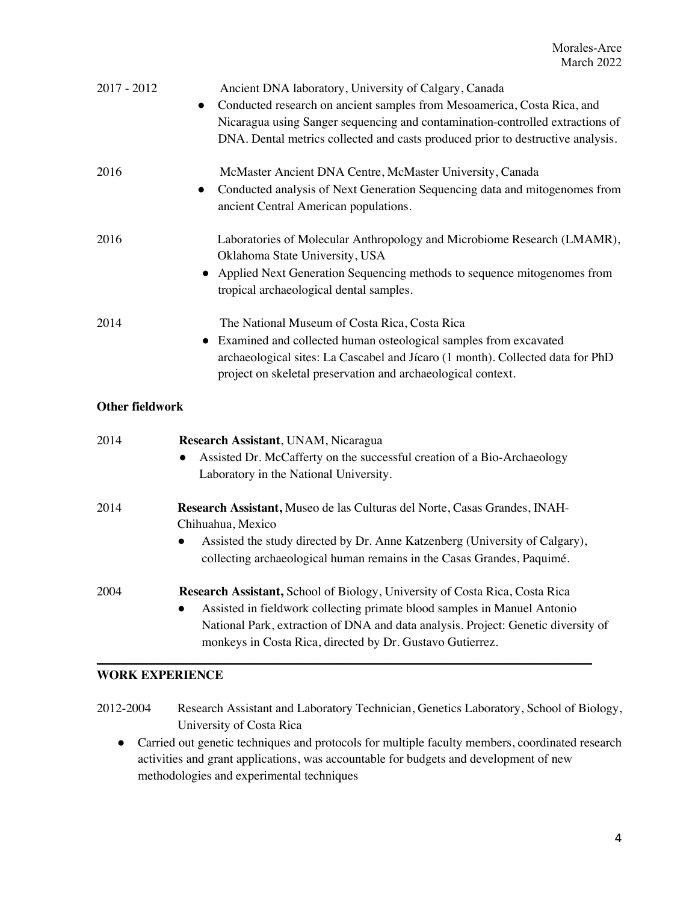| $2017 - 2012$          | Ancient DNA laboratory, University of Calgary, Canada<br>Conducted research on ancient samples from Mesoamerica, Costa Rica, and<br>Nicaragua using Sanger sequencing and contamination-controlled extractions of<br>DNA. Dental metrics collected and casts produced prior to destructive analysis.                   |
|------------------------|------------------------------------------------------------------------------------------------------------------------------------------------------------------------------------------------------------------------------------------------------------------------------------------------------------------------|
| 2016                   | McMaster Ancient DNA Centre, McMaster University, Canada<br>Conducted analysis of Next Generation Sequencing data and mitogenomes from<br>ancient Central American populations.                                                                                                                                        |
| 2016                   | Laboratories of Molecular Anthropology and Microbiome Research (LMAMR),<br>Oklahoma State University, USA<br>• Applied Next Generation Sequencing methods to sequence mitogenomes from<br>tropical archaeological dental samples.                                                                                      |
| 2014                   | The National Museum of Costa Rica, Costa Rica<br>• Examined and collected human osteological samples from excavated<br>archaeological sites: La Cascabel and Jícaro (1 month). Collected data for PhD<br>project on skeletal preservation and archaeological context.                                                  |
| <b>Other fieldwork</b> |                                                                                                                                                                                                                                                                                                                        |
| 2014                   | Research Assistant, UNAM, Nicaragua<br>Assisted Dr. McCafferty on the successful creation of a Bio-Archaeology<br>$\bullet$<br>Laboratory in the National University.                                                                                                                                                  |
| 2014                   | Research Assistant, Museo de las Culturas del Norte, Casas Grandes, INAH-<br>Chihuahua, Mexico                                                                                                                                                                                                                         |
|                        | Assisted the study directed by Dr. Anne Katzenberg (University of Calgary),<br>collecting archaeological human remains in the Casas Grandes, Paquimé.                                                                                                                                                                  |
| 2004                   | Research Assistant, School of Biology, University of Costa Rica, Costa Rica<br>Assisted in fieldwork collecting primate blood samples in Manuel Antonio<br>$\bullet$<br>National Park, extraction of DNA and data analysis. Project: Genetic diversity of<br>monkeys in Costa Rica, directed by Dr. Gustavo Gutierrez. |

### **WORK EXPERIENCE**

| 2012-2004 | Research Assistant and Laboratory Technician, Genetics Laboratory, School of Biology, |
|-----------|---------------------------------------------------------------------------------------|
|           | University of Costa Rica                                                              |

● Carried out genetic techniques and protocols for multiple faculty members, coordinated research activities and grant applications, was accountable for budgets and development of new methodologies and experimental techniques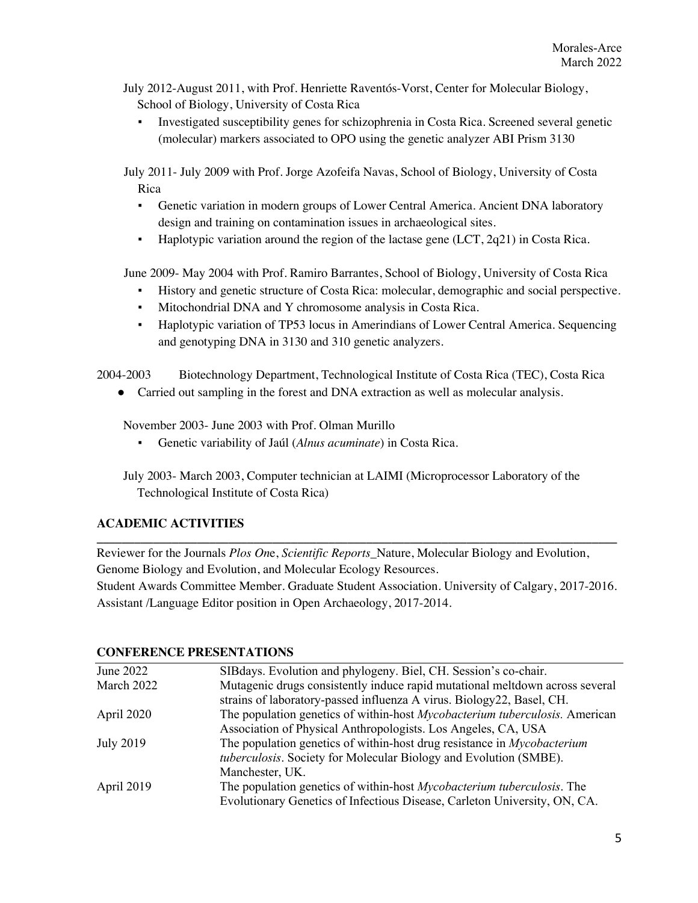July 2012-August 2011, with Prof. Henriette Raventós-Vorst, Center for Molecular Biology, School of Biology, University of Costa Rica

▪ Investigated susceptibility genes for schizophrenia in Costa Rica. Screened several genetic (molecular) markers associated to OPO using the genetic analyzer ABI Prism 3130

July 2011- July 2009 with Prof. Jorge Azofeifa Navas, School of Biology, University of Costa Rica

- Genetic variation in modern groups of Lower Central America. Ancient DNA laboratory design and training on contamination issues in archaeological sites.
- Haplotypic variation around the region of the lactase gene  $(ICT, 2q21)$  in Costa Rica.

June 2009- May 2004 with Prof. Ramiro Barrantes, School of Biology, University of Costa Rica

- History and genetic structure of Costa Rica: molecular, demographic and social perspective.
- Mitochondrial DNA and Y chromosome analysis in Costa Rica.
- Haplotypic variation of TP53 locus in Amerindians of Lower Central America. Sequencing and genotyping DNA in 3130 and 310 genetic analyzers.

2004-2003 Biotechnology Department, Technological Institute of Costa Rica (TEC), Costa Rica

• Carried out sampling in the forest and DNA extraction as well as molecular analysis.

November 2003- June 2003 with Prof. Olman Murillo

Genetic variability of Jaúl (*Alnus acuminate*) in Costa Rica.

July 2003- March 2003, Computer technician at LAIMI (Microprocessor Laboratory of the Technological Institute of Costa Rica)

### **ACADEMIC ACTIVITIES**

**\_\_\_\_\_\_\_\_\_\_\_\_\_\_\_\_\_\_\_\_\_\_\_\_\_\_\_\_\_\_\_\_\_\_\_\_\_\_\_\_\_\_\_\_\_\_\_\_\_\_\_\_\_\_\_\_\_\_\_\_\_\_\_\_\_\_\_\_\_\_\_\_\_\_\_\_\_\_\_\_\_\_\_** Reviewer for the Journals *Plos On*e, *Scientific Reports*\_Nature, Molecular Biology and Evolution, Genome Biology and Evolution, and Molecular Ecology Resources. Student Awards Committee Member. Graduate Student Association. University of Calgary, 2017-2016. Assistant /Language Editor position in Open Archaeology, 2017-2014.

#### **CONFERENCE PRESENTATIONS**

| June 2022        | SIB days. Evolution and phylogeny. Biel, CH. Session's co-chair.                    |
|------------------|-------------------------------------------------------------------------------------|
| March 2022       | Mutagenic drugs consistently induce rapid mutational meltdown across several        |
|                  | strains of laboratory-passed influenza A virus. Biology22, Basel, CH.               |
| April 2020       | The population genetics of within-host <i>Mycobacterium tuberculosis</i> . American |
|                  | Association of Physical Anthropologists. Los Angeles, CA, USA                       |
| <b>July 2019</b> | The population genetics of within-host drug resistance in <i>Mycobacterium</i>      |
|                  | tuberculosis. Society for Molecular Biology and Evolution (SMBE).                   |
|                  | Manchester, UK.                                                                     |
| April 2019       | The population genetics of within-host <i>Mycobacterium tuberculosis</i> . The      |
|                  | Evolutionary Genetics of Infectious Disease, Carleton University, ON, CA.           |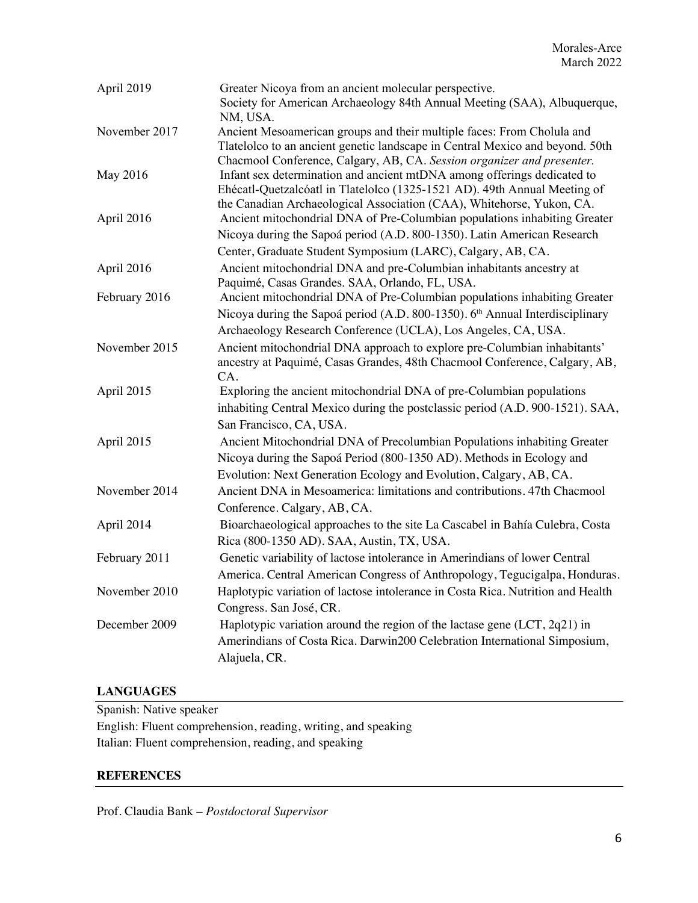| April 2019    | Greater Nicoya from an ancient molecular perspective.<br>Society for American Archaeology 84th Annual Meeting (SAA), Albuquerque,<br>NM, USA.                                                                                     |
|---------------|-----------------------------------------------------------------------------------------------------------------------------------------------------------------------------------------------------------------------------------|
| November 2017 | Ancient Mesoamerican groups and their multiple faces: From Cholula and<br>Tlatelolco to an ancient genetic landscape in Central Mexico and beyond. 50th<br>Chacmool Conference, Calgary, AB, CA. Session organizer and presenter. |
| May 2016      | Infant sex determination and ancient mtDNA among offerings dedicated to<br>Ehécatl-Quetzalcóatl in Tlatelolco (1325-1521 AD). 49th Annual Meeting of<br>the Canadian Archaeological Association (CAA), Whitehorse, Yukon, CA.     |
| April 2016    | Ancient mitochondrial DNA of Pre-Columbian populations inhabiting Greater<br>Nicoya during the Sapoá period (A.D. 800-1350). Latin American Research                                                                              |
|               | Center, Graduate Student Symposium (LARC), Calgary, AB, CA.                                                                                                                                                                       |
| April 2016    | Ancient mitochondrial DNA and pre-Columbian inhabitants ancestry at<br>Paquimé, Casas Grandes. SAA, Orlando, FL, USA.                                                                                                             |
| February 2016 | Ancient mitochondrial DNA of Pre-Columbian populations inhabiting Greater<br>Nicoya during the Sapoá period (A.D. 800-1350). 6 <sup>th</sup> Annual Interdisciplinary                                                             |
|               | Archaeology Research Conference (UCLA), Los Angeles, CA, USA.                                                                                                                                                                     |
| November 2015 | Ancient mitochondrial DNA approach to explore pre-Columbian inhabitants'<br>ancestry at Paquimé, Casas Grandes, 48th Chacmool Conference, Calgary, AB,<br>CA.                                                                     |
| April 2015    | Exploring the ancient mitochondrial DNA of pre-Columbian populations<br>inhabiting Central Mexico during the postclassic period (A.D. 900-1521). SAA,                                                                             |
|               | San Francisco, CA, USA.                                                                                                                                                                                                           |
| April 2015    | Ancient Mitochondrial DNA of Precolumbian Populations inhabiting Greater<br>Nicoya during the Sapoá Period (800-1350 AD). Methods in Ecology and                                                                                  |
|               | Evolution: Next Generation Ecology and Evolution, Calgary, AB, CA.                                                                                                                                                                |
| November 2014 | Ancient DNA in Mesoamerica: limitations and contributions. 47th Chacmool<br>Conference. Calgary, AB, CA.                                                                                                                          |
| April 2014    | Bioarchaeological approaches to the site La Cascabel in Bahía Culebra, Costa<br>Rica (800-1350 AD). SAA, Austin, TX, USA.                                                                                                         |
| February 2011 | Genetic variability of lactose intolerance in Amerindians of lower Central<br>America. Central American Congress of Anthropology, Tegucigalpa, Honduras.                                                                          |
| November 2010 | Haplotypic variation of lactose intolerance in Costa Rica. Nutrition and Health<br>Congress. San José, CR.                                                                                                                        |
| December 2009 | Haplotypic variation around the region of the lactase gene $(ICT, 2q21)$ in<br>Amerindians of Costa Rica. Darwin200 Celebration International Simposium,<br>Alajuela, CR.                                                         |

### **LANGUAGES**

Spanish: Native speaker English: Fluent comprehension, reading, writing, and speaking Italian: Fluent comprehension, reading, and speaking

### **REFERENCES**

Prof. Claudia Bank *– Postdoctoral Supervisor*